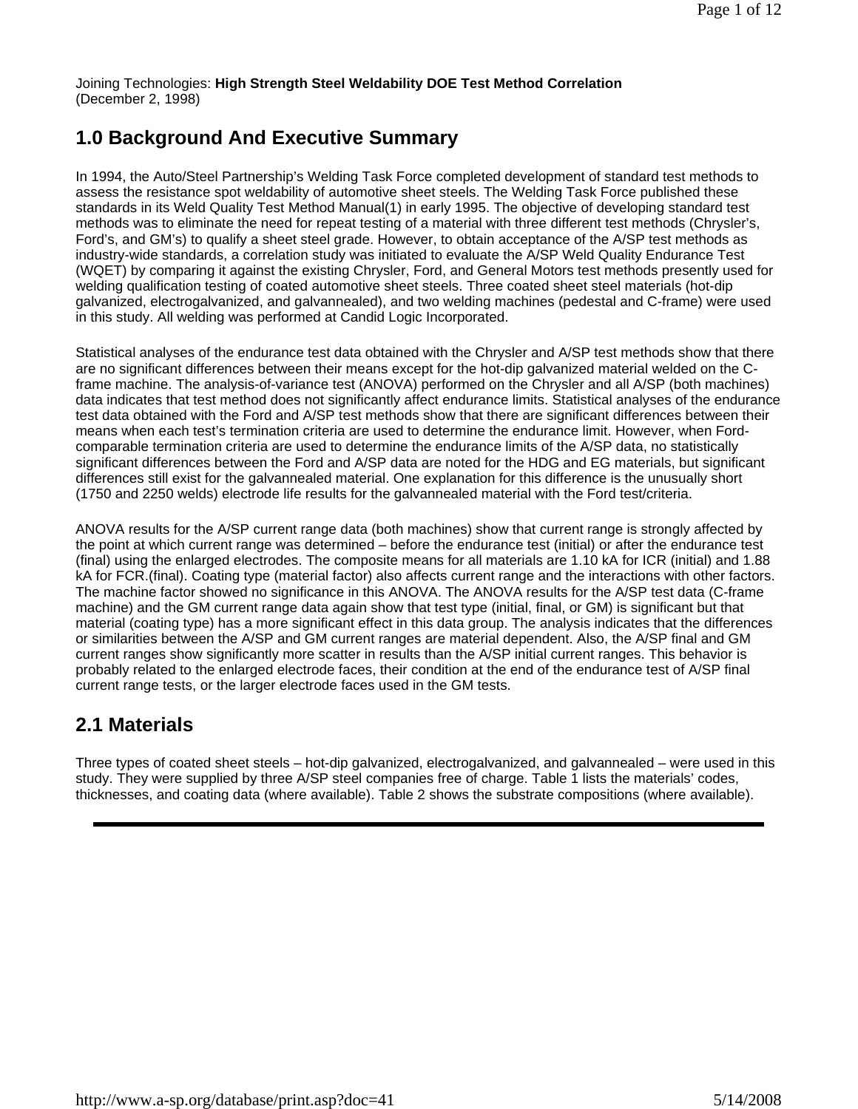Joining Technologies: **High Strength Steel Weldability DOE Test Method Correlation** (December 2, 1998)

### **1.0 Background And Executive Summary**

In 1994, the Auto/Steel Partnership's Welding Task Force completed development of standard test methods to assess the resistance spot weldability of automotive sheet steels. The Welding Task Force published these standards in its Weld Quality Test Method Manual(1) in early 1995. The objective of developing standard test methods was to eliminate the need for repeat testing of a material with three different test methods (Chrysler's, Ford's, and GM's) to qualify a sheet steel grade. However, to obtain acceptance of the A/SP test methods as industry-wide standards, a correlation study was initiated to evaluate the A/SP Weld Quality Endurance Test (WQET) by comparing it against the existing Chrysler, Ford, and General Motors test methods presently used for welding qualification testing of coated automotive sheet steels. Three coated sheet steel materials (hot-dip galvanized, electrogalvanized, and galvannealed), and two welding machines (pedestal and C-frame) were used in this study. All welding was performed at Candid Logic Incorporated.

Statistical analyses of the endurance test data obtained with the Chrysler and A/SP test methods show that there are no significant differences between their means except for the hot-dip galvanized material welded on the Cframe machine. The analysis-of-variance test (ANOVA) performed on the Chrysler and all A/SP (both machines) data indicates that test method does not significantly affect endurance limits. Statistical analyses of the endurance test data obtained with the Ford and A/SP test methods show that there are significant differences between their means when each test's termination criteria are used to determine the endurance limit. However, when Fordcomparable termination criteria are used to determine the endurance limits of the A/SP data, no statistically significant differences between the Ford and A/SP data are noted for the HDG and EG materials, but significant differences still exist for the galvannealed material. One explanation for this difference is the unusually short (1750 and 2250 welds) electrode life results for the galvannealed material with the Ford test/criteria.

ANOVA results for the A/SP current range data (both machines) show that current range is strongly affected by the point at which current range was determined – before the endurance test (initial) or after the endurance test (final) using the enlarged electrodes. The composite means for all materials are 1.10 kA for ICR (initial) and 1.88 kA for FCR.(final). Coating type (material factor) also affects current range and the interactions with other factors. The machine factor showed no significance in this ANOVA. The ANOVA results for the A/SP test data (C-frame machine) and the GM current range data again show that test type (initial, final, or GM) is significant but that material (coating type) has a more significant effect in this data group. The analysis indicates that the differences or similarities between the A/SP and GM current ranges are material dependent. Also, the A/SP final and GM current ranges show significantly more scatter in results than the A/SP initial current ranges. This behavior is probably related to the enlarged electrode faces, their condition at the end of the endurance test of A/SP final current range tests, or the larger electrode faces used in the GM tests.

### **2.1 Materials**

Three types of coated sheet steels – hot-dip galvanized, electrogalvanized, and galvannealed – were used in this study. They were supplied by three A/SP steel companies free of charge. Table 1 lists the materials' codes, thicknesses, and coating data (where available). Table 2 shows the substrate compositions (where available).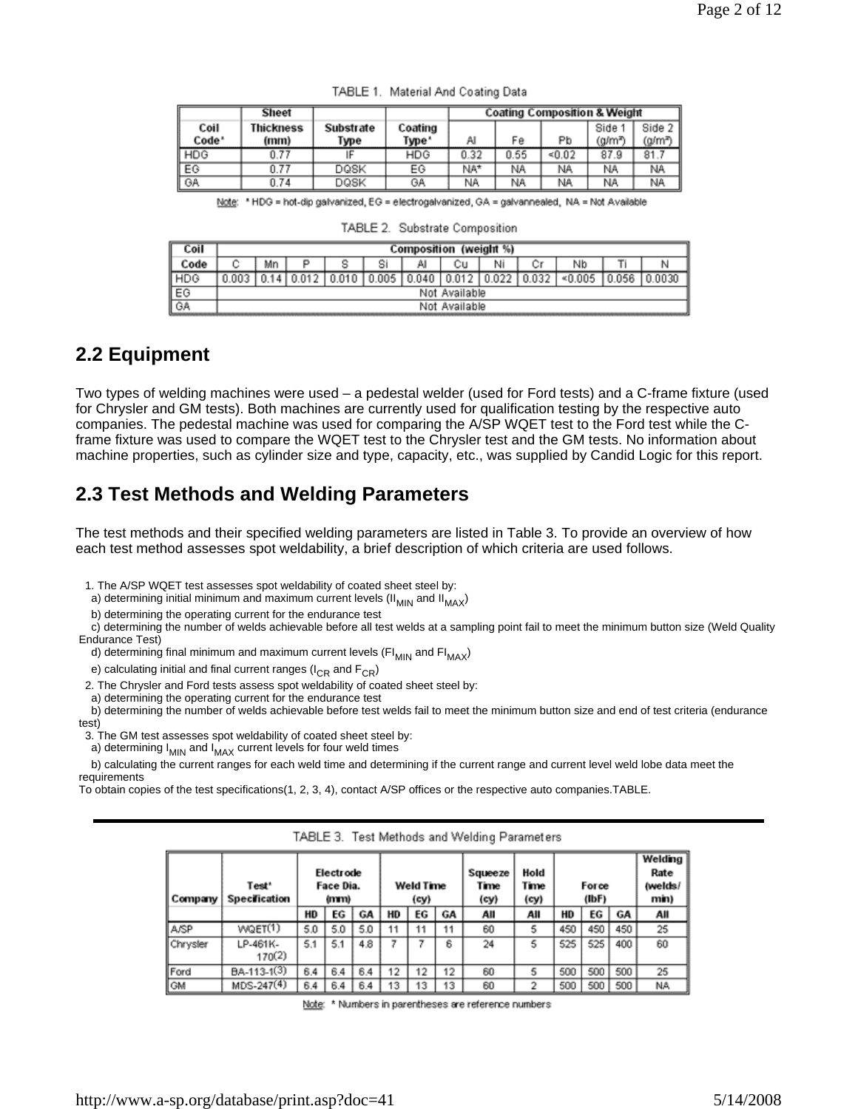|                           | Sheet                    |                   |                  |      |      | <b>Coating Composition &amp; Weight</b> |                  |                  |
|---------------------------|--------------------------|-------------------|------------------|------|------|-----------------------------------------|------------------|------------------|
| Coil<br>Code <sup>*</sup> | <b>Thickness</b><br>(mm) | Substrate<br>Type | Coating<br>Type' | Al   | Fe   | Pb                                      | Side 1<br>(g/mª) | Side 2<br>(a/mª) |
| HDG                       | 0.77                     |                   | HDG              | 0.32 | 0.55 | < 0.02                                  | 87.9             | 81.7             |
| EG                        | 0.77                     | DOSK              | ЕG               | NA*  | NA.  | NA                                      | NA               | NA.              |
| GA                        | 0.74                     | DQSK              | GA               | NA.  | ΝA   | NA                                      | NA               | NA.              |

TABLE 1. Material And Coating Data

Note: \* HDG = hot-dip galvanized, EG = electrogalvanized, GA = galvannealed, NA = Not Available

| "ABLE 2. Substrate Composition |
|--------------------------------|
|--------------------------------|

| Coil       | Composition (weight %) |  |       |       |       |               |  |       |    |      |      |
|------------|------------------------|--|-------|-------|-------|---------------|--|-------|----|------|------|
|            | Мn                     |  |       | S     | Al    | Сu            |  |       | Nb |      |      |
| <b>HDC</b> |                        |  | 0.010 | 0.005 | 0.040 | 0.012         |  | 0.032 |    | .056 | 0030 |
| EG         |                        |  |       |       |       | Not Available |  |       |    |      |      |
| ∥ GA       |                        |  |       |       |       | Not Available |  |       |    |      |      |

#### **2.2 Equipment**

Two types of welding machines were used – a pedestal welder (used for Ford tests) and a C-frame fixture (used for Chrysler and GM tests). Both machines are currently used for qualification testing by the respective auto companies. The pedestal machine was used for comparing the A/SP WQET test to the Ford test while the Cframe fixture was used to compare the WQET test to the Chrysler test and the GM tests. No information about machine properties, such as cylinder size and type, capacity, etc., was supplied by Candid Logic for this report.

### **2.3 Test Methods and Welding Parameters**

The test methods and their specified welding parameters are listed in Table 3. To provide an overview of how each test method assesses spot weldability, a brief description of which criteria are used follows.

1. The A/SP WQET test assesses spot weldability of coated sheet steel by:

a) determining initial minimum and maximum current levels (II $_{\text{MIN}}$  and II $_{\text{MAX}}$ )

b) determining the operating current for the endurance test

 c) determining the number of welds achievable before all test welds at a sampling point fail to meet the minimum button size (Weld Quality Endurance Test)

d) determining final minimum and maximum current levels ( $FI_{MIN}$  and  $FI_{MAX}$ )

e) calculating initial and final current ranges ( $I_{CR}$  and  $F_{CR}$ )

2. The Chrysler and Ford tests assess spot weldability of coated sheet steel by:

a) determining the operating current for the endurance test

 b) determining the number of welds achievable before test welds fail to meet the minimum button size and end of test criteria (endurance test)

3. The GM test assesses spot weldability of coated sheet steel by:

a) determining  $I_{MIN}$  and  $I_{MAX}$  current levels for four weld times

 b) calculating the current ranges for each weld time and determining if the current range and current level weld lobe data meet the requirements

To obtain copies of the test specifications(1, 2, 3, 4), contact A/SP offices or the respective auto companies.TABLE.

| Company  | Test <sup>*</sup><br><b>Specification</b> |     | Electrode<br>Face Dia.<br>(mm) |     |    | Weld Time<br>(cy) |    | Squeeze<br>Time<br>(cy) | Hold<br>Time<br>(cy) |     | Force<br>(IbF) |     | Welding<br>Rate<br>(welds/<br>min) |
|----------|-------------------------------------------|-----|--------------------------------|-----|----|-------------------|----|-------------------------|----------------------|-----|----------------|-----|------------------------------------|
|          |                                           | HD  | ЕG                             | GA  | HD | ЕG                | GA | All                     | All                  | HD  | ЕG             | GА  | All                                |
| A/SP     | WQET(1)                                   | 5.0 | 5.0                            | 5.0 | 11 | 11                | 11 | 60                      | 5                    | 450 | 450            | 450 | 25                                 |
| Chrysler | LP-461K-<br>170(2)                        | 5.1 | 5.1                            | 4.8 | 7  |                   | 6  | 24                      | 5                    | 525 | 525            | 400 | 60                                 |
| Ford     | BA-113-1(3)                               | 6.4 | 6.4                            | 6.4 | 12 | 12                | 12 | 60                      | 5                    | 500 | 500            | 500 | 25                                 |
| GM       | $MDS-247(4)$                              | 6.4 | 6.4                            | 6.4 | 13 | 13                | 13 | 60                      | 2                    | 500 | 500            | 500 | NA                                 |

TABLE 3. Test Methods and Welding Parameters

Note: \* Numbers in parentheses are reference numbers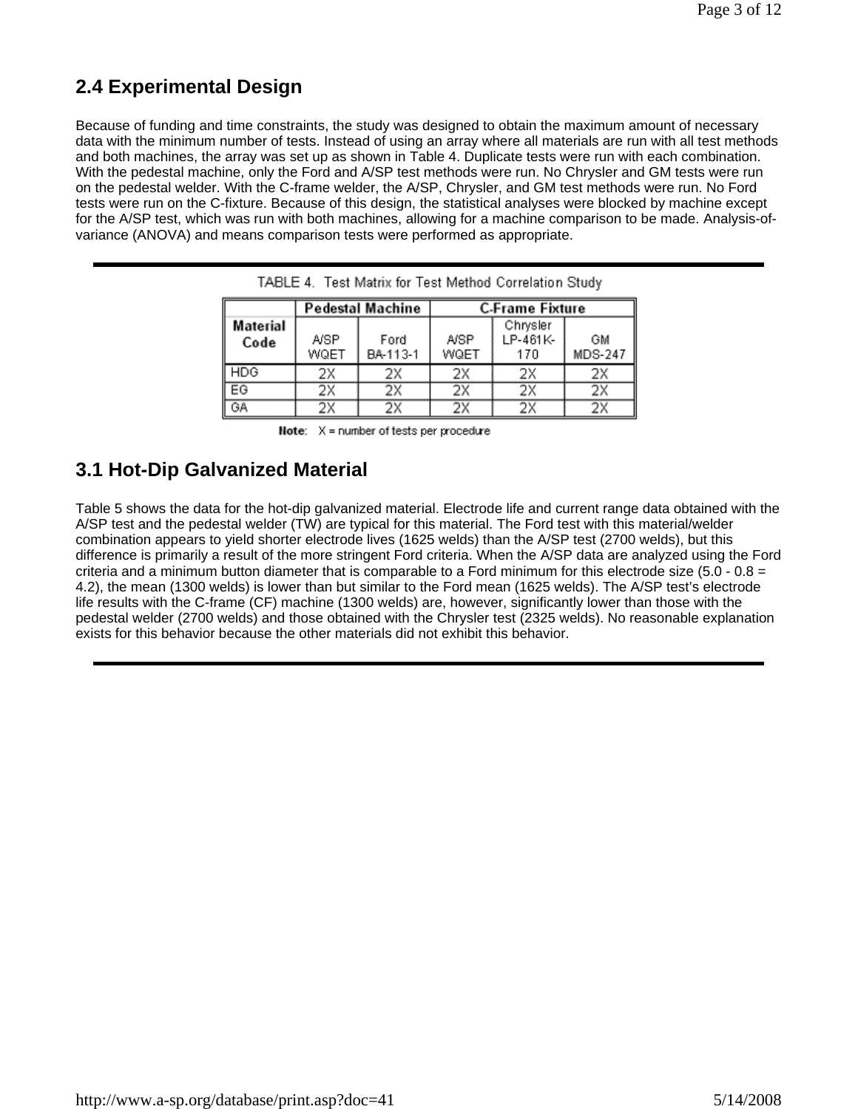## **2.4 Experimental Design**

Because of funding and time constraints, the study was designed to obtain the maximum amount of necessary data with the minimum number of tests. Instead of using an array where all materials are run with all test methods and both machines, the array was set up as shown in Table 4. Duplicate tests were run with each combination. With the pedestal machine, only the Ford and A/SP test methods were run. No Chrysler and GM tests were run on the pedestal welder. With the C-frame welder, the A/SP, Chrysler, and GM test methods were run. No Ford tests were run on the C-fixture. Because of this design, the statistical analyses were blocked by machine except for the A/SP test, which was run with both machines, allowing for a machine comparison to be made. Analysis-ofvariance (ANOVA) and means comparison tests were performed as appropriate.

|                         |              | Pedestal Machine | <b>C-Frame Fixture</b> |                             |                      |  |  |  |
|-------------------------|--------------|------------------|------------------------|-----------------------------|----------------------|--|--|--|
| <b>Material</b><br>Code | A/SP<br>WQET | Ford<br>BA-113-1 | A/SP<br>WQET           | Chrysler<br>LP-461K-<br>170 | GМ<br><b>MDS-247</b> |  |  |  |
| HDG                     | 2Χ           | 2Х               | 2Χ                     | 2Χ                          | 2Х                   |  |  |  |
| EG                      | 2Χ           | 2Х               | 2Χ                     | 2X                          | 2Χ                   |  |  |  |
| GA                      | 2Х           | 2Х               | 2Х                     | 2Χ                          | 2Х                   |  |  |  |

TABLE 4. Test Matrix for Test Method Correlation Study

|  |  | <b>Note:</b> $X =$ number of tests per procedure |
|--|--|--------------------------------------------------|
|  |  |                                                  |

### **3.1 Hot-Dip Galvanized Material**

Table 5 shows the data for the hot-dip galvanized material. Electrode life and current range data obtained with the A/SP test and the pedestal welder (TW) are typical for this material. The Ford test with this material/welder combination appears to yield shorter electrode lives (1625 welds) than the A/SP test (2700 welds), but this difference is primarily a result of the more stringent Ford criteria. When the A/SP data are analyzed using the Ford criteria and a minimum button diameter that is comparable to a Ford minimum for this electrode size (5.0 -  $0.8 =$ 4.2), the mean (1300 welds) is lower than but similar to the Ford mean (1625 welds). The A/SP test's electrode life results with the C-frame (CF) machine (1300 welds) are, however, significantly lower than those with the pedestal welder (2700 welds) and those obtained with the Chrysler test (2325 welds). No reasonable explanation exists for this behavior because the other materials did not exhibit this behavior.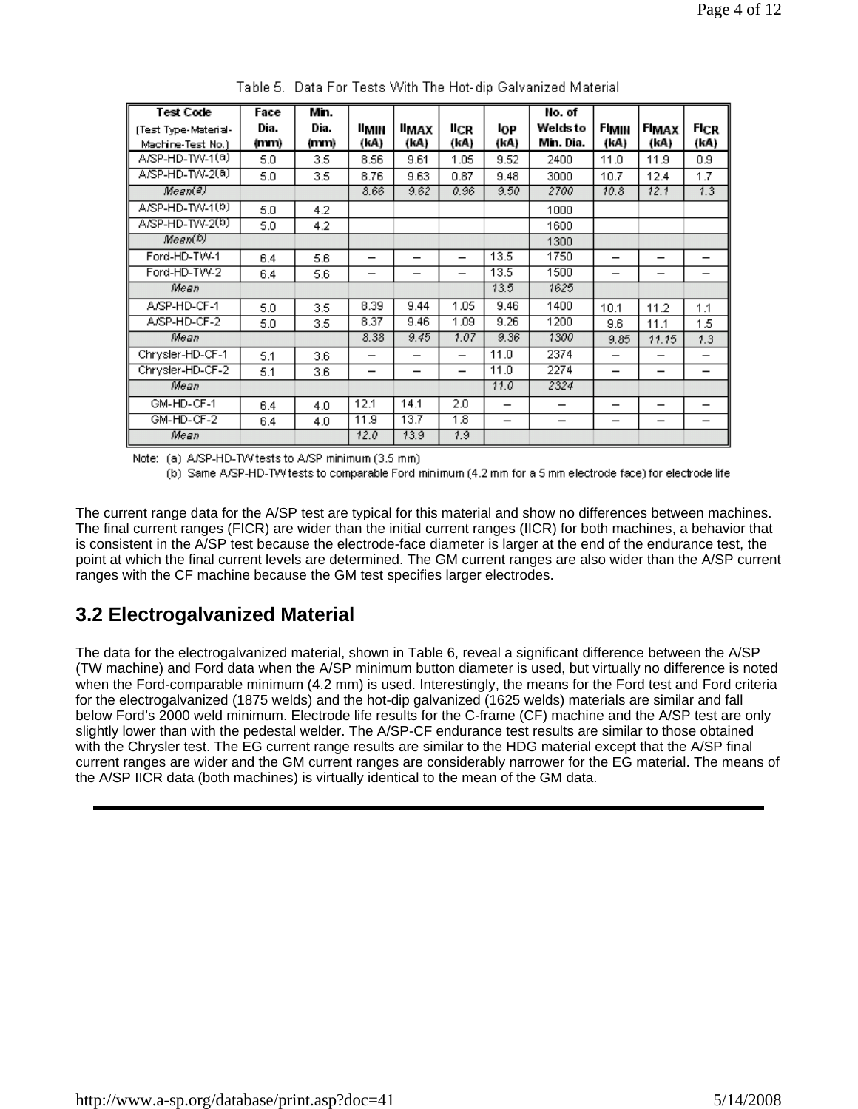| <b>Test Code</b>     | Face | Min. |                          |                          |                          |      | No. of                   |                          |                          |                          |
|----------------------|------|------|--------------------------|--------------------------|--------------------------|------|--------------------------|--------------------------|--------------------------|--------------------------|
| (Test Type-Material- | Dia. | Dia. | limin                    | ІІмах                    | licr                     | lop  | Welds to                 | FIMIN                    | <b>FIMAX</b>             | <b>FICR</b>              |
| Machine-Test No.)    | (mm) | (mm) | (kA)                     | (kA)                     | (kA)                     | (kA) | Min. Dia.                | (kA)                     | (kA)                     | (kA)                     |
| A/SP-HD-TW-1(a)      | 5.0  | 3.5  | 8.56                     | 9.61                     | 1.05                     | 9.52 | 2400                     | 11.0                     | 11.9                     | 0.9                      |
| A/SP-HD-TW-2(a)      | 5.0  | 3.5  | 8.76                     | 9.63                     | 0.87                     | 9.48 | 3000                     | 10.7                     | 12.4                     | 1.7                      |
| Mean(4)              |      |      | 8.66                     | 9.62                     | 0.96                     | 9.50 | 2700                     | 10.8                     | 12.1                     | 1.3                      |
| A/SP-HD-TW-1(b)      | 5.0  | 4.2  |                          |                          |                          |      | 1000                     |                          |                          |                          |
| A/SP-HD-TW-2(b)      | 5.0  | 4.2  |                          |                          |                          |      | 1600                     |                          |                          |                          |
| Mean(D)              |      |      |                          |                          |                          |      | 1300                     |                          |                          |                          |
| Ford-HD-TW-1         | 6.4  | 5.6  | $\overline{\phantom{0}}$ | $\overline{\phantom{0}}$ | $\overline{\phantom{0}}$ | 13.5 | 1750                     | $\overline{\phantom{0}}$ |                          |                          |
| Ford-HD-TW-2         | 6.4  | 5.6  | $\overline{\phantom{0}}$ | —                        | $\overline{\phantom{0}}$ | 13.5 | 1500                     |                          | $\overline{\phantom{0}}$ | –                        |
| Mean                 |      |      |                          |                          |                          | 13.5 | 1625                     |                          |                          |                          |
| A/SP-HD-CF-1         | 5.0  | 3.5  | 8.39                     | 9.44                     | 1.05                     | 9.46 | 1400                     | 10.1                     | 11.2                     | 1.1                      |
| A/SP-HD-CF-2         | 5.0  | 3.5  | 8.37                     | 9.46                     | 1.09                     | 9.26 | 1200                     | 9.6                      | 11.1                     | 1.5                      |
| Mean                 |      |      | 8.38                     | 9.45                     | 1.07                     | 9.36 | 1300                     | 9.85                     | 11.15                    | 1.3                      |
| Chrysler-HD-CF-1     | 5.1  | 3.6  | —                        |                          | $\overline{\phantom{0}}$ | 11.0 | 2374                     |                          | $\overline{\phantom{0}}$ | –                        |
| Chrysler-HD-CF-2     | 5.1  | 3.6  | $\overline{\phantom{0}}$ | $\qquad \qquad$          |                          | 11.0 | 2274                     | $\overline{\phantom{0}}$ | $\qquad \qquad$          | –                        |
| Mean                 |      |      |                          |                          |                          | 11.0 | 2324                     |                          |                          |                          |
| GM-HD-CF-1           | 6.4  | 4.0  | 12.1                     | 14.1                     | 2.0                      | —    | $\overline{\phantom{0}}$ | $\overline{\phantom{0}}$ | $\overline{\phantom{0}}$ |                          |
| GM-HD-CF-2           | 6.4  | 4.0  | 11.9                     | 13.7                     | 1.8                      |      | $\qquad \qquad -$        | $\qquad \qquad$          | $\qquad \qquad$          | $\overline{\phantom{0}}$ |
| Mean                 |      |      | 12.0                     | 13.9                     | 1.9                      |      |                          |                          |                          |                          |

Table 5. Data For Tests With The Hot-dip Galvanized Material

Note: (a) A/SP-HD-TVV tests to A/SP minimum (3.5 mm)

(b) Same A/SP-HD-T/V tests to comparable Ford minimum (4.2 mm for a 5 mm electrode face) for electrode life

The current range data for the A/SP test are typical for this material and show no differences between machines. The final current ranges (FICR) are wider than the initial current ranges (IICR) for both machines, a behavior that is consistent in the A/SP test because the electrode-face diameter is larger at the end of the endurance test, the point at which the final current levels are determined. The GM current ranges are also wider than the A/SP current ranges with the CF machine because the GM test specifies larger electrodes.

### **3.2 Electrogalvanized Material**

The data for the electrogalvanized material, shown in Table 6, reveal a significant difference between the A/SP (TW machine) and Ford data when the A/SP minimum button diameter is used, but virtually no difference is noted when the Ford-comparable minimum (4.2 mm) is used. Interestingly, the means for the Ford test and Ford criteria for the electrogalvanized (1875 welds) and the hot-dip galvanized (1625 welds) materials are similar and fall below Ford's 2000 weld minimum. Electrode life results for the C-frame (CF) machine and the A/SP test are only slightly lower than with the pedestal welder. The A/SP-CF endurance test results are similar to those obtained with the Chrysler test. The EG current range results are similar to the HDG material except that the A/SP final current ranges are wider and the GM current ranges are considerably narrower for the EG material. The means of the A/SP IICR data (both machines) is virtually identical to the mean of the GM data.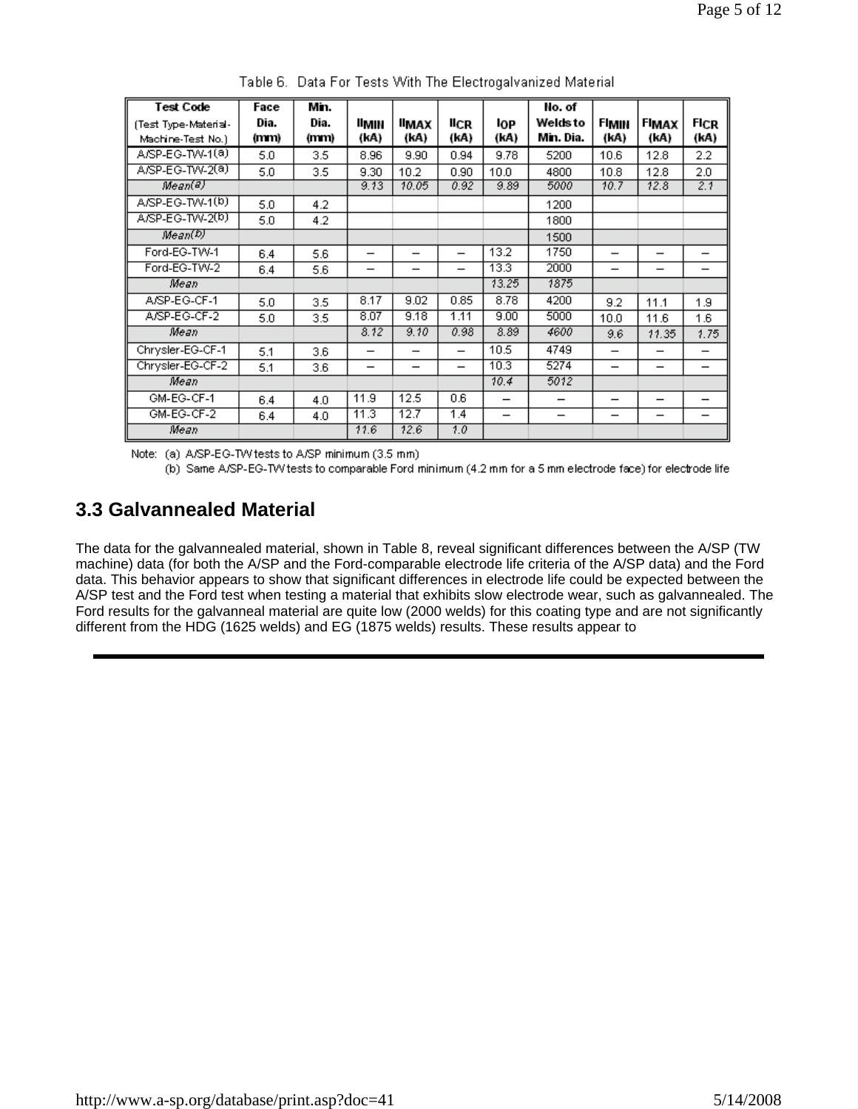| <b>Test Code</b>     | Face | Min. |                          |                          |                          |                          | No. of                   |                          |                          |                          |
|----------------------|------|------|--------------------------|--------------------------|--------------------------|--------------------------|--------------------------|--------------------------|--------------------------|--------------------------|
| (Test Type-Material- | Dia. | Dia. | ⊪мін                     | ІІмах                    | <b>IICR</b>              | lop                      | Welds to                 | FIMIN                    | <b>FIMAX</b>             | FICR                     |
| Machine-Test No.)    | (mm) | (mm) | (kA)                     | (kA)                     | (kA)                     | (kA)                     | Min. Dia.                | (kA)                     | (kA)                     | (kA)                     |
| A/SP-EG-TW-1(a)      | 5.0  | 3.5  | 8.96                     | 9.90                     | 0.94                     | 9.78                     | 5200                     | 10.6                     | 12.8                     | 2.2                      |
| A/SP-EG-TW-2(a)      | 5.0  | 3.5  | 9.30                     | 10.2                     | 0.90                     | 10.0                     | 4800                     | 10.8                     | 12.8                     | 2.0                      |
| Mean(3)              |      |      | 9.13                     | 10.05                    | 0.92                     | 9.89                     | 5000                     | 10.7                     | 12.8                     | 2.1                      |
| A/SP-EG-TW-1(b)      | 5.0  | 4.2  |                          |                          |                          |                          | 1200                     |                          |                          |                          |
| A/SP-EG-TW-2(b)      | 5.0  | 4.2  |                          |                          |                          |                          | 1800                     |                          |                          |                          |
| Mean(D)              |      |      |                          |                          |                          |                          | 1500                     |                          |                          |                          |
| Ford-EG-TW-1         | 6.4  | 5.6  | —                        | $\overline{\phantom{0}}$ | —                        | 13.2                     | 1750                     | $\overline{\phantom{0}}$ | $\overline{\phantom{0}}$ |                          |
| Ford-EG-TW-2         | 6.4  | 5.6  | $\overline{\phantom{0}}$ | $\overline{\phantom{0}}$ | —                        | 13.3                     | 2000                     | $\overline{\phantom{0}}$ | $\overline{\phantom{0}}$ | $\overline{\phantom{0}}$ |
| Mean                 |      |      |                          |                          |                          | 13.25                    | 1875                     |                          |                          |                          |
| A/SP-EG-CF-1         | 5.0  | 3.5  | 8.17                     | 9.02                     | 0.85                     | 8.78                     | 4200                     | 9.2                      | 11.1                     | 1.9                      |
| A/SP-EG-CF-2         | 5.0  | 3.5  | 8.07                     | 9.18                     | 1.11                     | 9.00                     | 5000                     | 10.0                     | 11.6                     | 1.6                      |
| Mean                 |      |      | 8.12                     | 9.10                     | 0.98                     | 8.89                     | 4600                     | 9.6                      | 11.35                    | 1.75                     |
| Chrysler-EG-CF-1     | 5.1  | 3.6  | -                        |                          | $\overline{\phantom{0}}$ | 10.5                     | 4749                     | $\overline{\phantom{0}}$ | –                        | $\overline{\phantom{0}}$ |
| Chrysler-EG-CF-2     | 5.1  | 3.6  | $\overline{\phantom{0}}$ | $\overline{\phantom{0}}$ | $\overline{\phantom{0}}$ | 10.3                     | 5274                     | $\overline{\phantom{0}}$ | $\qquad \qquad$          | $\overline{\phantom{0}}$ |
| Mean                 |      |      |                          |                          |                          | 10.4                     | 5012                     |                          |                          |                          |
| GM-EG-CF-1           | 6.4  | 4.0  | 11.9                     | 12.5                     | 0.6                      | $\overline{\phantom{0}}$ | $\overline{\phantom{0}}$ | $\overline{\phantom{0}}$ | $\overline{\phantom{0}}$ | $\overline{\phantom{0}}$ |
| GM-EG-CF-2           | 6.4  | 4.0  | 11.3                     | 12.7                     | 1.4                      | $\overline{\phantom{0}}$ | —                        | $\overline{\phantom{0}}$ | $\overline{\phantom{0}}$ | $\overline{\phantom{0}}$ |
| Mean                 |      |      | 11.6                     | 12.6                     | 1.0                      |                          |                          |                          |                          |                          |

Table 6. Data For Tests With The Electrogalvanized Material

Note: (a) A/SP-EG-TW tests to A/SP minimum (3.5 mm)

(b) Same A/SP-EG-TVV tests to comparable Ford minimum (4.2 mm for a 5 mm electrode face) for electrode life

#### **3.3 Galvannealed Material**

The data for the galvannealed material, shown in Table 8, reveal significant differences between the A/SP (TW machine) data (for both the A/SP and the Ford-comparable electrode life criteria of the A/SP data) and the Ford data. This behavior appears to show that significant differences in electrode life could be expected between the A/SP test and the Ford test when testing a material that exhibits slow electrode wear, such as galvannealed. The Ford results for the galvanneal material are quite low (2000 welds) for this coating type and are not significantly different from the HDG (1625 welds) and EG (1875 welds) results. These results appear to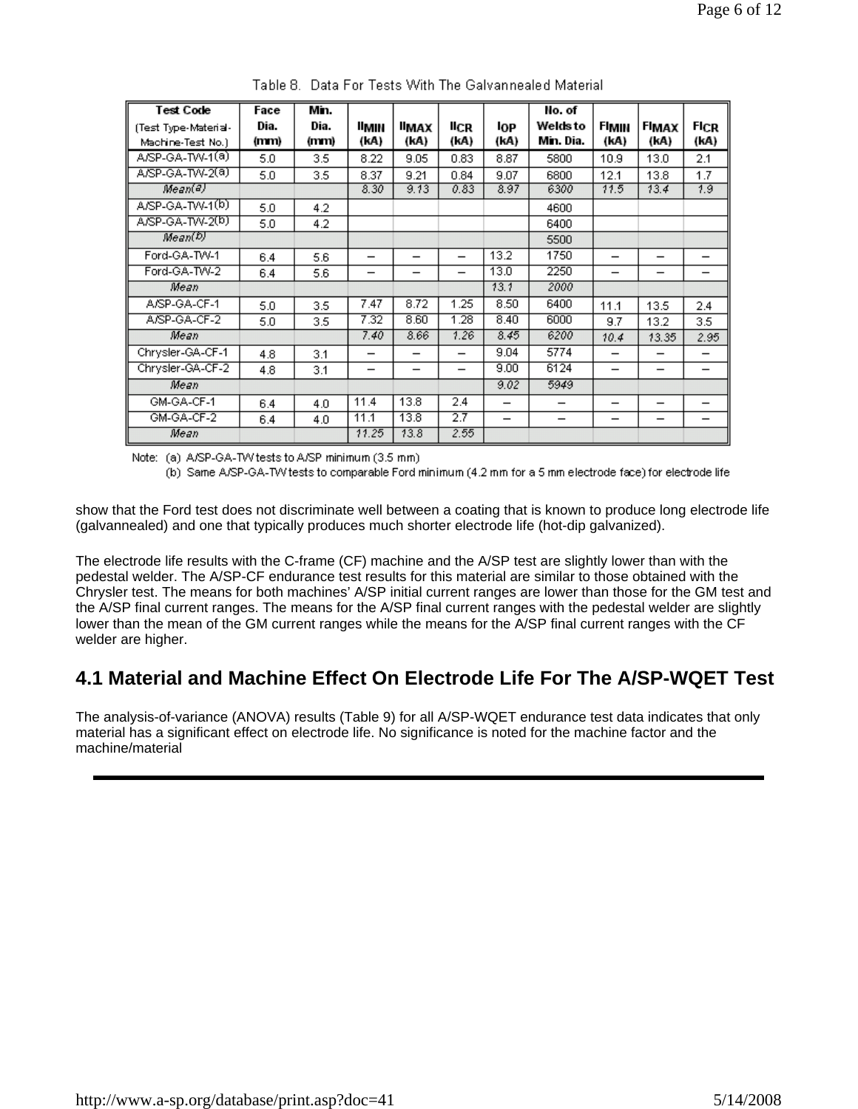| <b>Test Code</b>     | Face | Min. |       |                          |                          |                          | No. of    |                          |       |                          |
|----------------------|------|------|-------|--------------------------|--------------------------|--------------------------|-----------|--------------------------|-------|--------------------------|
| (Test Type-Material- | Dia. | Dia. | llmin | ІІмах                    | licr                     | l0P                      | Welds to  | FIMIN                    | FIMAX | FICR                     |
| Machine-Test No.)    | (mm) | (mm) | (kA)  | (kA)                     | (kA)                     | (kA)                     | Min. Dia. | (kA)                     | (kA)  | (kA)                     |
| A/SP-GA-TW-1(a)      | 5.0  | 3.5  | 8.22  | 9.05                     | 0.83                     | 8.87                     | 5800      | 10.9                     | 13.0  | 2.1                      |
| A/SP-GA-TW-2(a)      | 5.0  | 3.5  | 8.37  | 9.21                     | 0.84                     | 9.07                     | 6800      | 12.1                     | 13.8  | 1.7                      |
| Mean(4)              |      |      | 8.30  | 9.13                     | 0.83                     | 8.97                     | 6300      | 11.5                     | 13.4  | 1.9                      |
| A/SP-GA-TW-1(b)      | 5.0  | 4.2  |       |                          |                          |                          | 4600      |                          |       |                          |
| A/SP-GA-TW-2(b)      | 5.0  | 4.2  |       |                          |                          |                          | 6400      |                          |       |                          |
| Mean(D)              |      |      |       |                          |                          |                          | 5500      |                          |       |                          |
| Ford-GA-TW-1         | 6.4  | 5.6  | —     |                          | $\overline{\phantom{0}}$ | 13.2                     | 1750      |                          | -     |                          |
| Ford-GA-TW-2         | 6.4  | 5.6  | -     | $\overline{\phantom{0}}$ | $\overline{\phantom{0}}$ | 13.0                     | 2250      | $\overline{\phantom{0}}$ | -     |                          |
| Mean                 |      |      |       |                          |                          | 13.1                     | 2000      |                          |       |                          |
| A/SP-GA-CF-1         | 5.0  | 3.5  | 7.47  | 8.72                     | 1.25                     | 8.50                     | 6400      | 11.1                     | 13.5  | 2.4                      |
| A/SP-GA-CF-2         | 5.0  | 3.5  | 7.32  | 8.60                     | 1.28                     | 8.40                     | 6000      | 9.7                      | 13.2  | 3.5                      |
| Mean                 |      |      | 7.40  | 8.66                     | 1.26                     | 8.45                     | 6200      | 10.4                     | 13.35 | 2.95                     |
| Chrysler-GA-CF-1     | 4.8  | 3.1  | -     | $\qquad \qquad$          | —                        | 9.04                     | 5774      | $\overline{\phantom{0}}$ | —     | -                        |
| Chrysler-GA-CF-2     | 4.8  | 3.1  | —     | -                        | -                        | 9.00                     | 6124      |                          |       |                          |
| Mean                 |      |      |       |                          |                          | 9.02                     | 5949      |                          |       |                          |
| GM-GA-CF-1           | 6.4  | 4.0  | 11.4  | 13.8                     | 2.4                      | -                        | -         | $\overline{\phantom{0}}$ | -     | -                        |
| GM-GA-CF-2           | 6.4  | 4.0  | 11.1  | 13.8                     | 2.7                      | $\overline{\phantom{0}}$ |           | $\qquad \qquad$          | —     | $\overline{\phantom{0}}$ |
| Mean                 |      |      | 11.25 | 13.8                     | 2.55                     |                          |           |                          |       |                          |

Table 8. Data For Tests With The Galvannealed Material

Note: (a) A/SP-GA-TW tests to A/SP minimum (3.5 mm)

(b) Same A/SP-GA-TV/ tests to comparable Ford minimum (4.2 mm for a 5 mm electrode face) for electrode life

show that the Ford test does not discriminate well between a coating that is known to produce long electrode life (galvannealed) and one that typically produces much shorter electrode life (hot-dip galvanized).

The electrode life results with the C-frame (CF) machine and the A/SP test are slightly lower than with the pedestal welder. The A/SP-CF endurance test results for this material are similar to those obtained with the Chrysler test. The means for both machines' A/SP initial current ranges are lower than those for the GM test and the A/SP final current ranges. The means for the A/SP final current ranges with the pedestal welder are slightly lower than the mean of the GM current ranges while the means for the A/SP final current ranges with the CF welder are higher.

### **4.1 Material and Machine Effect On Electrode Life For The A/SP-WQET Test**

The analysis-of-variance (ANOVA) results (Table 9) for all A/SP-WQET endurance test data indicates that only material has a significant effect on electrode life. No significance is noted for the machine factor and the machine/material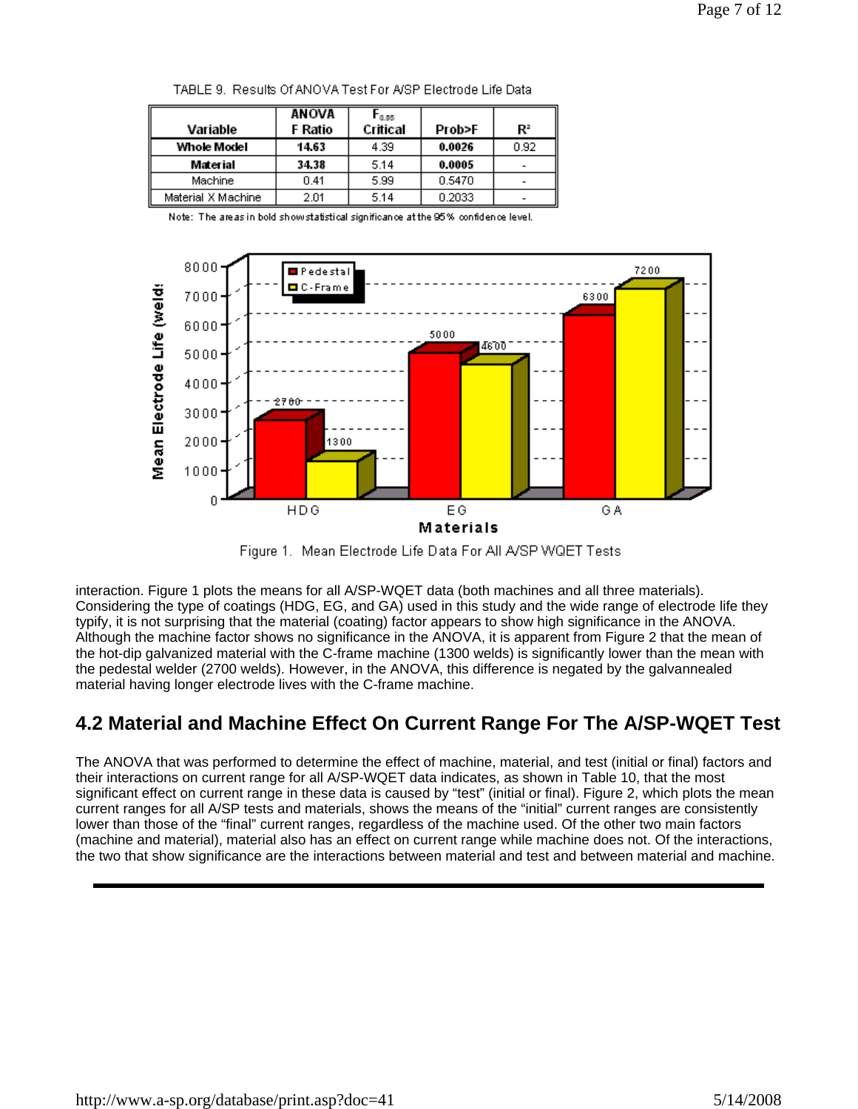|                    | ANOVA   | 0.95     |        |      |
|--------------------|---------|----------|--------|------|
| Variable           | F Ratio | Critical | Prob>F | Rª   |
| Whole Model        | 14.63   | 4.39     | 0.0026 | 0.92 |
| Material           | 34.38   | 5.14     | 0.0005 |      |
| Machine            | 0.41    | 5.99     | 0.5470 |      |
| Material X Machine | 2.01    | 5.14     | 0.2033 |      |

TABLE 9. Results Of ANOVA Test For A/SP Electrode Life Data



Figure 1. Mean Electrode Life Data For All A/SP WQET Tests

interaction. Figure 1 plots the means for all A/SP-WQET data (both machines and all three materials). Considering the type of coatings (HDG, EG, and GA) used in this study and the wide range of electrode life they typify, it is not surprising that the material (coating) factor appears to show high significance in the ANOVA. Although the machine factor shows no significance in the ANOVA, it is apparent from Figure 2 that the mean of the hot-dip galvanized material with the C-frame machine (1300 welds) is significantly lower than the mean with the pedestal welder (2700 welds). However, in the ANOVA, this difference is negated by the galvannealed material having longer electrode lives with the C-frame machine.

## **4.2 Material and Machine Effect On Current Range For The A/SP-WQET Test**

The ANOVA that was performed to determine the effect of machine, material, and test (initial or final) factors and their interactions on current range for all A/SP-WQET data indicates, as shown in Table 10, that the most significant effect on current range in these data is caused by "test" (initial or final). Figure 2, which plots the mean current ranges for all A/SP tests and materials, shows the means of the "initial" current ranges are consistently lower than those of the "final" current ranges, regardless of the machine used. Of the other two main factors (machine and material), material also has an effect on current range while machine does not. Of the interactions, the two that show significance are the interactions between material and test and between material and machine.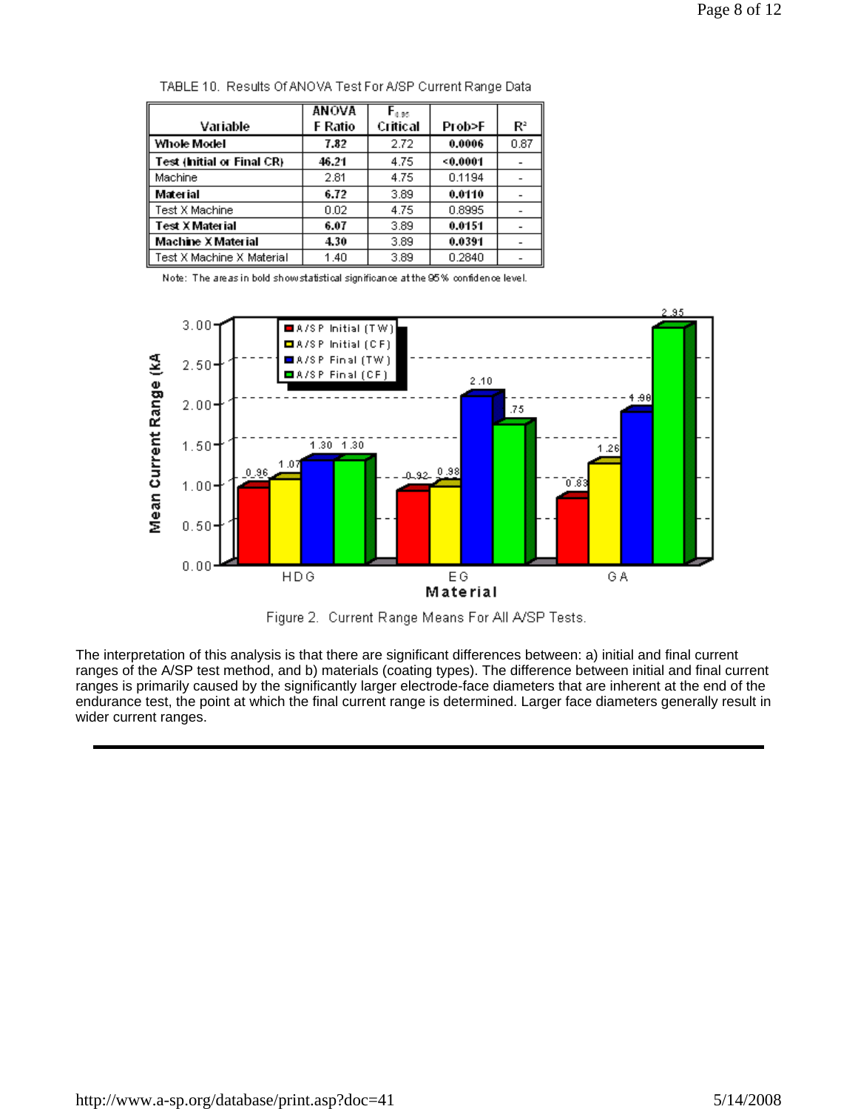|                            | <b>ANOVA</b> | $\mathsf{F}_{0.95}$ |        |                |
|----------------------------|--------------|---------------------|--------|----------------|
| Variable                   | F Ratio      | Critical            | Prob>F | $\mathbb{R}^2$ |
| Whole Model                | 7.82         | 2.72                | 0.0006 | 0.87           |
| Test (Initial or Final CR) | 46.21        | 4.75                | 0.0001 |                |
| Machine                    | 2.81         | 4.75                | 0.1194 |                |
| Material                   | 6.72         | 3.89                | 0.0110 |                |
| Test X Machine.            | 0.02         | 4.75                | 0.8995 |                |
| Test X Material            | 6.07         | 3.89                | 0.0151 |                |
| <b>Machine X Material</b>  | 4.30         | 3.89                | 0.0391 |                |
| Test X Machine X Material  | 1.40         | 3.89                | 0.2840 |                |

TABLE 10. Results Of ANOVA Test For A/SP Current Range Data



Figure 2. Current Range Means For All A/SP Tests.

The interpretation of this analysis is that there are significant differences between: a) initial and final current ranges of the A/SP test method, and b) materials (coating types). The difference between initial and final current ranges is primarily caused by the significantly larger electrode-face diameters that are inherent at the end of the endurance test, the point at which the final current range is determined. Larger face diameters generally result in wider current ranges.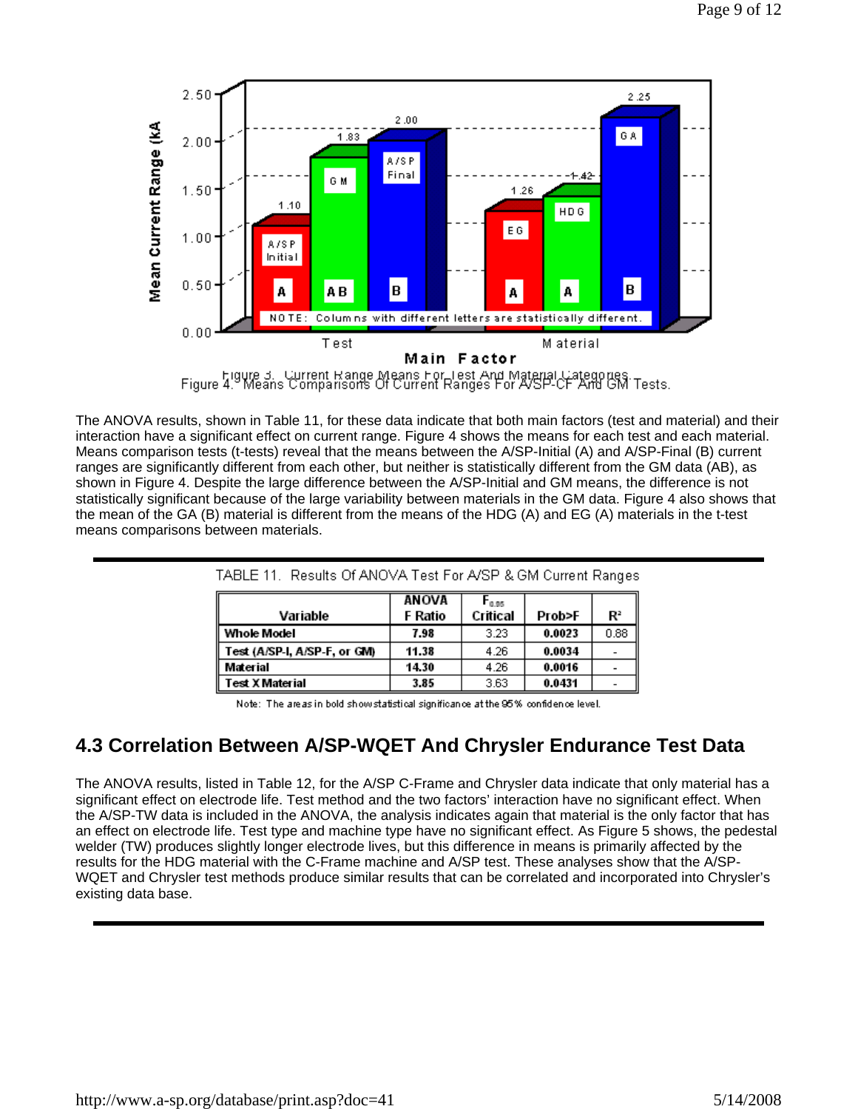

The ANOVA results, shown in Table 11, for these data indicate that both main factors (test and material) and their interaction have a significant effect on current range. Figure 4 shows the means for each test and each material. Means comparison tests (t-tests) reveal that the means between the A/SP-Initial (A) and A/SP-Final (B) current ranges are significantly different from each other, but neither is statistically different from the GM data (AB), as shown in Figure 4. Despite the large difference between the A/SP-Initial and GM means, the difference is not statistically significant because of the large variability between materials in the GM data. Figure 4 also shows that the mean of the GA (B) material is different from the means of the HDG (A) and EG (A) materials in the t-test means comparisons between materials.

| TABLE 11. Results Of ANOVA Test For A/SP & GM Current Ranges |         |            |        |                |  |  |  |  |  |
|--------------------------------------------------------------|---------|------------|--------|----------------|--|--|--|--|--|
|                                                              | ANOVA   | $F_{0.95}$ |        |                |  |  |  |  |  |
| Variable                                                     | F Ratio | Critical   | Prob>F | $\mathbf{R}^2$ |  |  |  |  |  |
| Whole Model                                                  | 7.98    | 3.23       | 0.0023 | 0.88           |  |  |  |  |  |
| Test (A/SP-I, A/SP-F, or GM)                                 | 11.38   | 4.26       | 0.0034 |                |  |  |  |  |  |
| Material                                                     | 14.30   | 4.26       | 0.0016 |                |  |  |  |  |  |
| <b>Test X Material</b>                                       | 3.85    | 3.63       | 0.0431 |                |  |  |  |  |  |

Note: The areas in bold show statistical significance at the 95% confidence level.

## **4.3 Correlation Between A/SP-WQET And Chrysler Endurance Test Data**

The ANOVA results, listed in Table 12, for the A/SP C-Frame and Chrysler data indicate that only material has a significant effect on electrode life. Test method and the two factors' interaction have no significant effect. When the A/SP-TW data is included in the ANOVA, the analysis indicates again that material is the only factor that has an effect on electrode life. Test type and machine type have no significant effect. As Figure 5 shows, the pedestal welder (TW) produces slightly longer electrode lives, but this difference in means is primarily affected by the results for the HDG material with the C-Frame machine and A/SP test. These analyses show that the A/SP-WQET and Chrysler test methods produce similar results that can be correlated and incorporated into Chrysler's existing data base.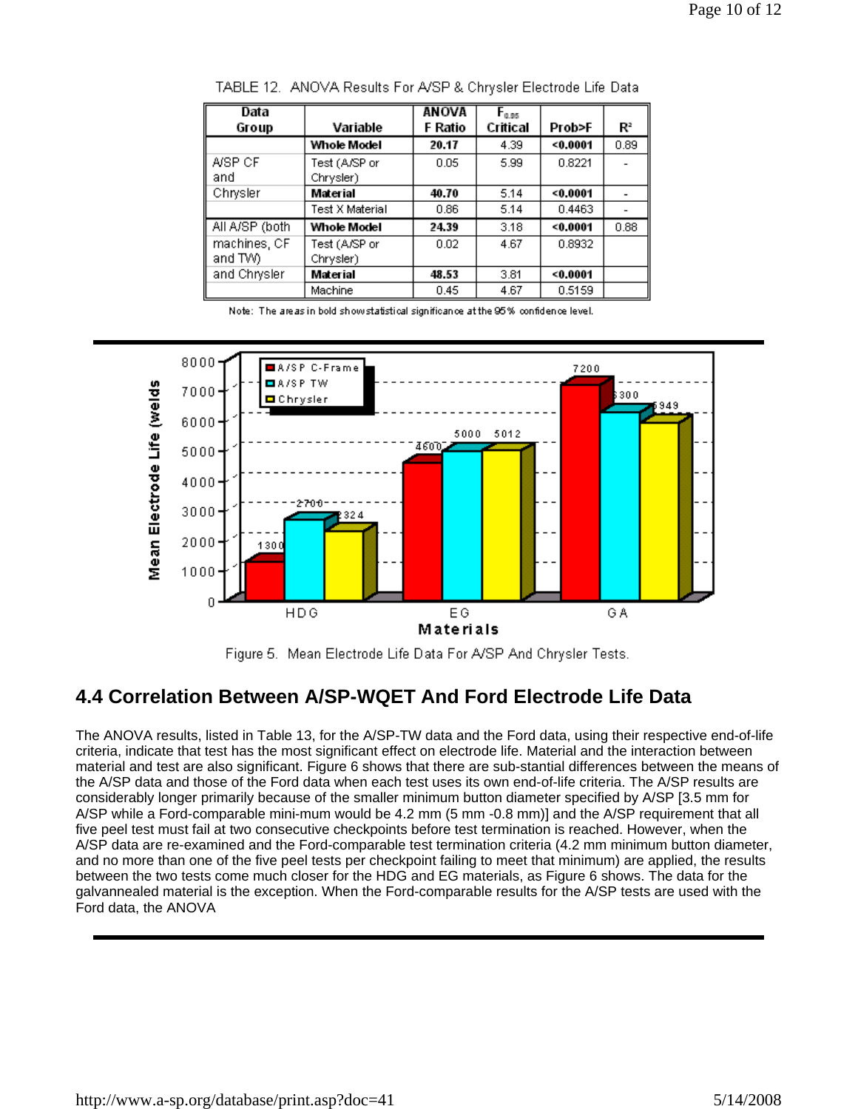| Data           |                 | <b>ANOVA</b> | $F_{0.95}$ |        |       |
|----------------|-----------------|--------------|------------|--------|-------|
| Group          | Variable        | F Ratio      | Critical   | Prob>F | $R^2$ |
|                | Whole Model     | 20.17        | 4.39       | 0.0001 | 0.89  |
| A/SP CF        | Test (A/SP or   | 0.05         | 5.99       | 0.8221 |       |
| and            | Chrysler)       |              |            |        |       |
| Chrysler       | Material        | 40.70        | 5.14       | 0.0001 |       |
|                | Test X Material | 0.86         | 5.14       | 0.4463 |       |
| All A/SP (both | Whole Model     | 24.39        | 3.18       | 0.0001 | 0.88  |
| machines, CF   | Test (A/SP or   | 0.02         | 4.67       | 0.8932 |       |
| and TVV).      | Chrysler)       |              |            |        |       |
| and Chrysler   | Material        | 48.53        | 3.81       | 0.0001 |       |
|                | Machine         | 0.45         | 4.67       | 0.5159 |       |

TABLE 12. ANOVA Results For A/SP & Chrysler Electrode Life Data



Figure 5. Mean Electrode Life Data For A/SP And Chrysler Tests.

# **4.4 Correlation Between A/SP-WQET And Ford Electrode Life Data**

The ANOVA results, listed in Table 13, for the A/SP-TW data and the Ford data, using their respective end-of-life criteria, indicate that test has the most significant effect on electrode life. Material and the interaction between material and test are also significant. Figure 6 shows that there are sub-stantial differences between the means of the A/SP data and those of the Ford data when each test uses its own end-of-life criteria. The A/SP results are considerably longer primarily because of the smaller minimum button diameter specified by A/SP [3.5 mm for A/SP while a Ford-comparable mini-mum would be 4.2 mm (5 mm -0.8 mm)] and the A/SP requirement that all five peel test must fail at two consecutive checkpoints before test termination is reached. However, when the A/SP data are re-examined and the Ford-comparable test termination criteria (4.2 mm minimum button diameter, and no more than one of the five peel tests per checkpoint failing to meet that minimum) are applied, the results between the two tests come much closer for the HDG and EG materials, as Figure 6 shows. The data for the galvannealed material is the exception. When the Ford-comparable results for the A/SP tests are used with the Ford data, the ANOVA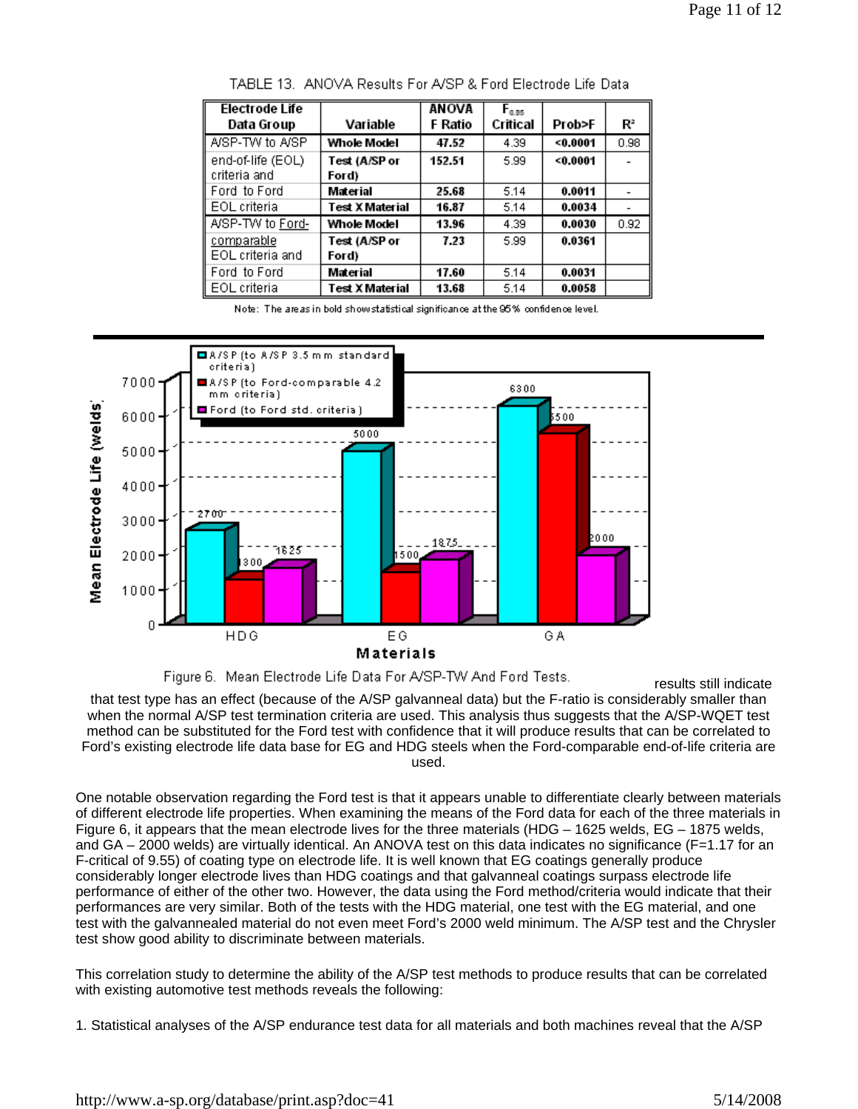| <b>Electrode Life</b> |                 | <b>ANOVA</b> | $F_{0.95}$ |        |      |
|-----------------------|-----------------|--------------|------------|--------|------|
| Data Group            | Variable        | F Ratio      | Critical   | Prob>F | Rª   |
| A/SP-TW to A/SP       | Whole Model     | 47.52        | 4.39       | 0.0001 | 0.98 |
| end-of-life (EOL)     | Test (A/SP or   | 152.51       | 5.99       | 0.0001 |      |
| criteria and          | Ford)           |              |            |        |      |
| Ford to Ford          | Material        | 25.68        | 5.14       | 0.0011 |      |
| EOL criteria          | Test X Material | 16.87        | 5.14       | 0.0034 |      |
| A/SP-TW to Ford-      | Whole Model     | 13.96        | 4.39       | 0.0030 | 0.92 |
| comparable            | Test (A/SP or   | 7.23         | 5.99       | 0.0361 |      |
| EOL criteria and      | Ford)           |              |            |        |      |
| Ford to Ford          | Material        | 17.60        | 5.14       | 0.0031 |      |
| EOL criteria          | Test X Material | 13.68        | 5.14       | 0.0058 |      |

TABLE 13. ANOVA Results For A/SP & Ford Electrode Life Data





results still indicate that test type has an effect (because of the A/SP galvanneal data) but the F-ratio is considerably smaller than when the normal A/SP test termination criteria are used. This analysis thus suggests that the A/SP-WQET test method can be substituted for the Ford test with confidence that it will produce results that can be correlated to Ford's existing electrode life data base for EG and HDG steels when the Ford-comparable end-of-life criteria are used.

One notable observation regarding the Ford test is that it appears unable to differentiate clearly between materials of different electrode life properties. When examining the means of the Ford data for each of the three materials in Figure 6, it appears that the mean electrode lives for the three materials (HDG – 1625 welds, EG – 1875 welds, and GA – 2000 welds) are virtually identical. An ANOVA test on this data indicates no significance (F=1.17 for an F-critical of 9.55) of coating type on electrode life. It is well known that EG coatings generally produce considerably longer electrode lives than HDG coatings and that galvanneal coatings surpass electrode life performance of either of the other two. However, the data using the Ford method/criteria would indicate that their performances are very similar. Both of the tests with the HDG material, one test with the EG material, and one test with the galvannealed material do not even meet Ford's 2000 weld minimum. The A/SP test and the Chrysler test show good ability to discriminate between materials.

This correlation study to determine the ability of the A/SP test methods to produce results that can be correlated with existing automotive test methods reveals the following:

<sup>1.</sup> Statistical analyses of the A/SP endurance test data for all materials and both machines reveal that the A/SP